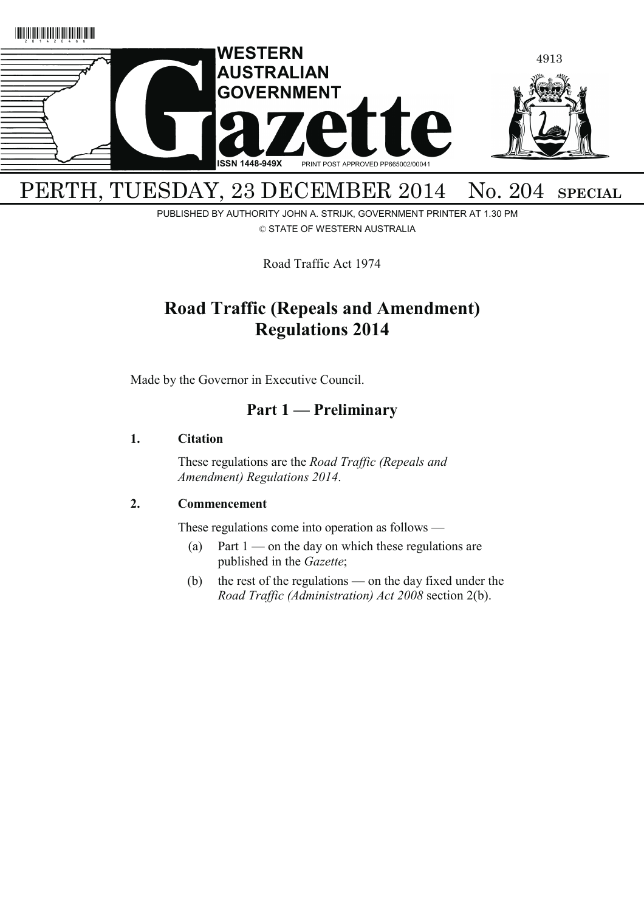

# PERTH, TUESDAY, 23 DECEMBER 2014 No. 204 SPECIAL

PUBLISHED BY AUTHORITY JOHN A. STRIJK, GOVERNMENT PRINTER AT 1.30 PM © STATE OF WESTERN AUSTRALIA

Road Traffic Act 1974

## **Road Traffic (Repeals and Amendment) Regulations 2014**

Made by the Governor in Executive Council.

## **Part 1 — Preliminary**

### **1. Citation**

 These regulations are the *Road Traffic (Repeals and Amendment) Regulations 2014*.

### **2. Commencement**

These regulations come into operation as follows —

- (a) Part  $1$  on the day on which these regulations are published in the *Gazette*;
- (b) the rest of the regulations on the day fixed under the *Road Traffic (Administration) Act 2008* section 2(b).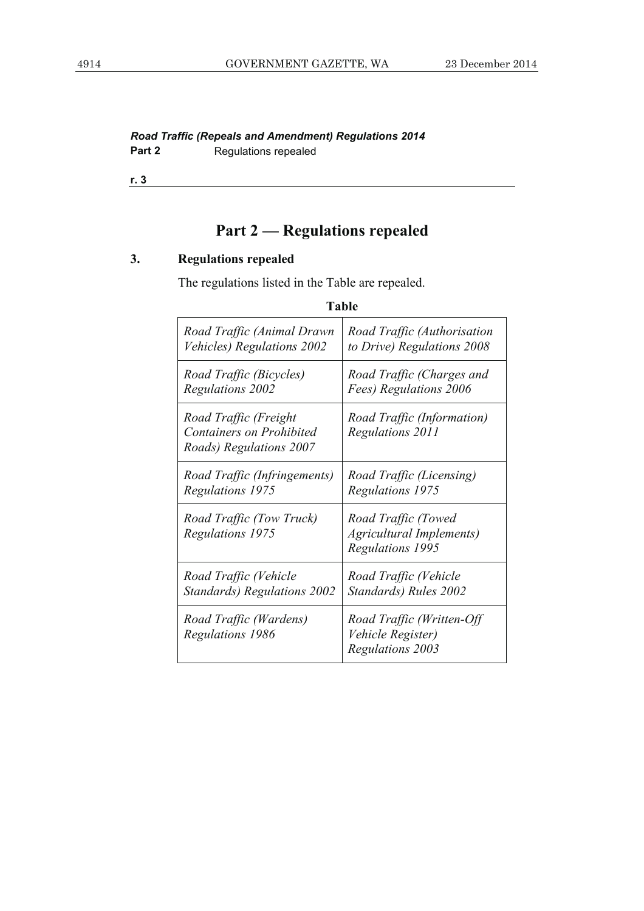### *Road Traffic (Repeals and Amendment) Regulations 2014*  **Part 2 Regulations repealed**

**r. 3**

# **Part 2 — Regulations repealed**

## **3. Regulations repealed**

The regulations listed in the Table are repealed.

| <b>Table</b>                                                                        |                                                                            |  |
|-------------------------------------------------------------------------------------|----------------------------------------------------------------------------|--|
| Road Traffic (Animal Drawn                                                          | Road Traffic (Authorisation                                                |  |
| Vehicles) Regulations 2002                                                          | to Drive) Regulations 2008                                                 |  |
| Road Traffic (Bicycles)                                                             | Road Traffic (Charges and                                                  |  |
| <b>Regulations 2002</b>                                                             | Fees) Regulations 2006                                                     |  |
| Road Traffic (Freight<br><b>Containers on Prohibited</b><br>Roads) Regulations 2007 | Road Traffic (Information)<br>Regulations 2011                             |  |
| Road Traffic (Infringements)                                                        | Road Traffic (Licensing)                                                   |  |
| Regulations 1975                                                                    | Regulations 1975                                                           |  |
| Road Traffic (Tow Truck)<br><b>Regulations 1975</b>                                 | Road Traffic (Towed<br>Agricultural Implements)<br><b>Regulations 1995</b> |  |
| Road Traffic (Vehicle                                                               | Road Traffic (Vehicle                                                      |  |
| <b>Standards</b> ) Regulations 2002                                                 | Standards) Rules 2002                                                      |  |
| Road Traffic (Wardens)<br><b>Regulations 1986</b>                                   | Road Traffic (Written-Off<br>Vehicle Register)<br><b>Regulations 2003</b>  |  |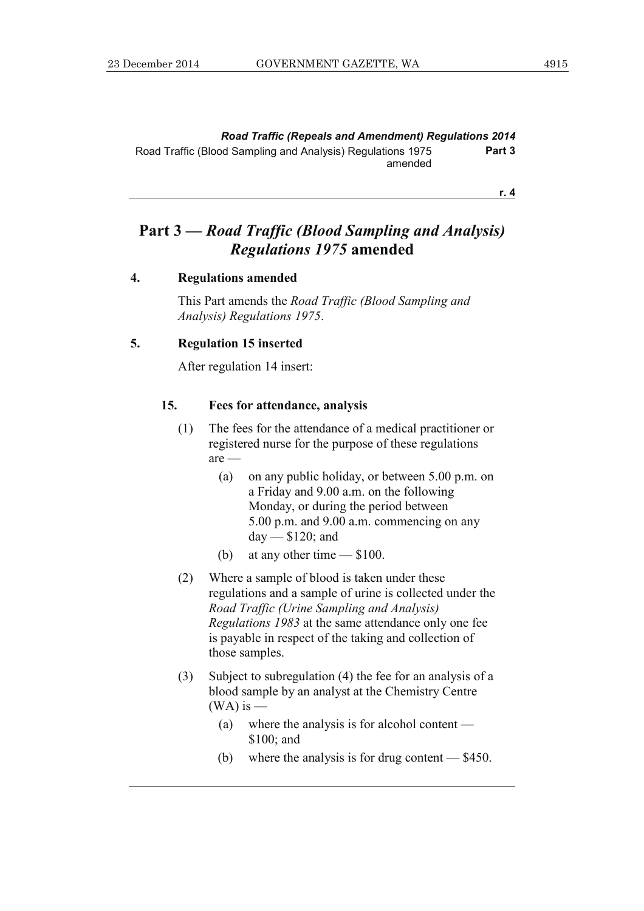*Road Traffic (Repeals and Amendment) Regulations 2014*  Road Traffic (Blood Sampling and Analysis) Regulations 1975 amended **Part 3** 

**r. 4**

## **Part 3 —** *Road Traffic (Blood Sampling and Analysis) Regulations 1975* **amended**

#### **4. Regulations amended**

 This Part amends the *Road Traffic (Blood Sampling and Analysis) Regulations 1975*.

#### **5. Regulation 15 inserted**

After regulation 14 insert:

#### **15. Fees for attendance, analysis**

- (1) The fees for the attendance of a medical practitioner or registered nurse for the purpose of these regulations are —
	- (a) on any public holiday, or between 5.00 p.m. on a Friday and 9.00 a.m. on the following Monday, or during the period between 5.00 p.m. and 9.00 a.m. commencing on any day — \$120; and
	- (b) at any other time \$100.
- (2) Where a sample of blood is taken under these regulations and a sample of urine is collected under the *Road Traffic (Urine Sampling and Analysis) Regulations 1983* at the same attendance only one fee is payable in respect of the taking and collection of those samples.
- (3) Subject to subregulation (4) the fee for an analysis of a blood sample by an analyst at the Chemistry Centre  $(WA)$  is —
	- (a) where the analysis is for alcohol content \$100; and
	- (b) where the analysis is for drug content \$450.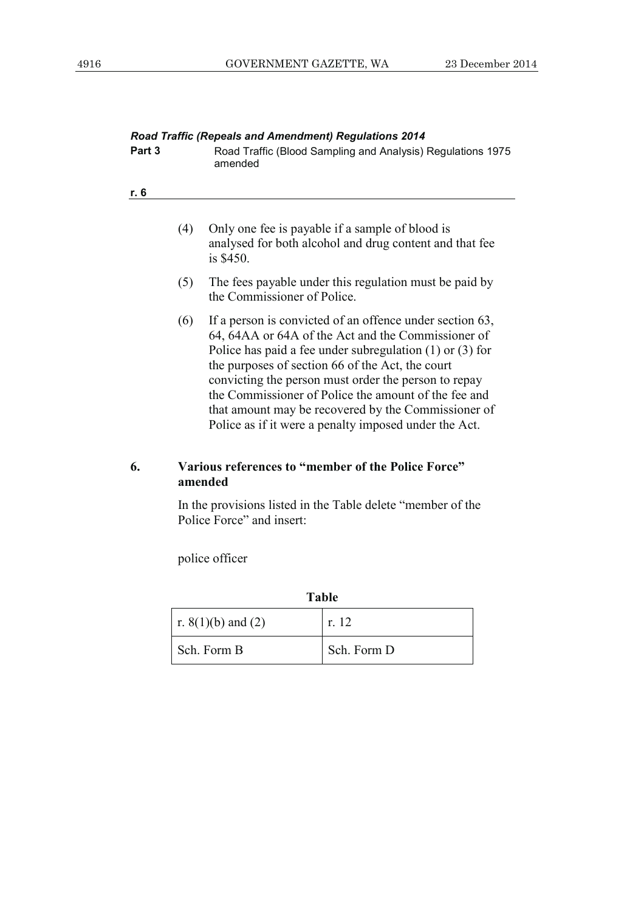| Part 3 |     | <b>Road Traffic (Repeals and Amendment) Regulations 2014</b><br>Road Traffic (Blood Sampling and Analysis) Regulations 1975<br>amended                                                                                                                                                                                                                                                                                                                             |
|--------|-----|--------------------------------------------------------------------------------------------------------------------------------------------------------------------------------------------------------------------------------------------------------------------------------------------------------------------------------------------------------------------------------------------------------------------------------------------------------------------|
| r. 6   |     |                                                                                                                                                                                                                                                                                                                                                                                                                                                                    |
|        | (4) | Only one fee is payable if a sample of blood is<br>analysed for both alcohol and drug content and that fee<br>is \$450.                                                                                                                                                                                                                                                                                                                                            |
|        | (5) | The fees payable under this regulation must be paid by<br>the Commissioner of Police.                                                                                                                                                                                                                                                                                                                                                                              |
|        | (6) | If a person is convicted of an offence under section 63,<br>64, 64AA or 64A of the Act and the Commissioner of<br>Police has paid a fee under subregulation $(1)$ or $(3)$ for<br>the purposes of section 66 of the Act, the court<br>convicting the person must order the person to repay<br>the Commissioner of Police the amount of the fee and<br>that amount may be recovered by the Commissioner of<br>Police as if it were a penalty imposed under the Act. |
| 6.     |     | Various references to "member of the Police Force"<br>amended                                                                                                                                                                                                                                                                                                                                                                                                      |
|        |     | In the provisions listed in the Table delete "member of the<br>Police Force" and insert:                                                                                                                                                                                                                                                                                                                                                                           |

police officer

| <b>Table</b>         |             |  |
|----------------------|-------------|--|
| r. $8(1)(b)$ and (2) | r. 12       |  |
| Sch. Form B          | Sch. Form D |  |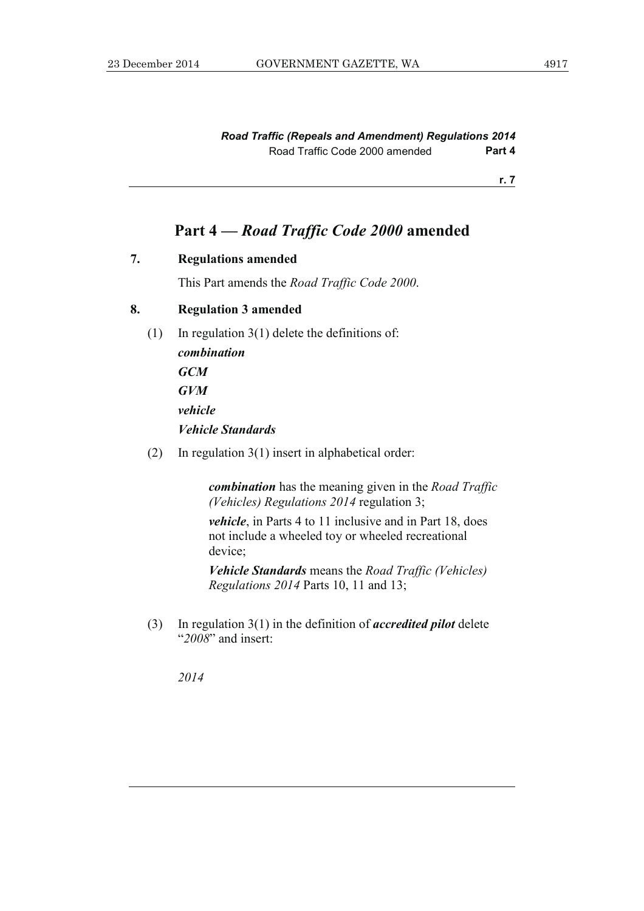*Road Traffic (Repeals and Amendment) Regulations 2014*  Road Traffic Code 2000 amended **Part 4** 

**r. 7**

## **Part 4 —** *Road Traffic Code 2000* **amended**

#### **7. Regulations amended**

This Part amends the *Road Traffic Code 2000*.

### **8. Regulation 3 amended**

(1) In regulation 3(1) delete the definitions of:

*combination GCM GVM vehicle Vehicle Standards* 

(2) In regulation 3(1) insert in alphabetical order:

*combination* has the meaning given in the *Road Traffic (Vehicles) Regulations 2014* regulation 3;

*vehicle*, in Parts 4 to 11 inclusive and in Part 18, does not include a wheeled toy or wheeled recreational device;

*Vehicle Standards* means the *Road Traffic (Vehicles) Regulations 2014* Parts 10, 11 and 13;

 (3) In regulation 3(1) in the definition of *accredited pilot* delete "*2008*" and insert:

*2014*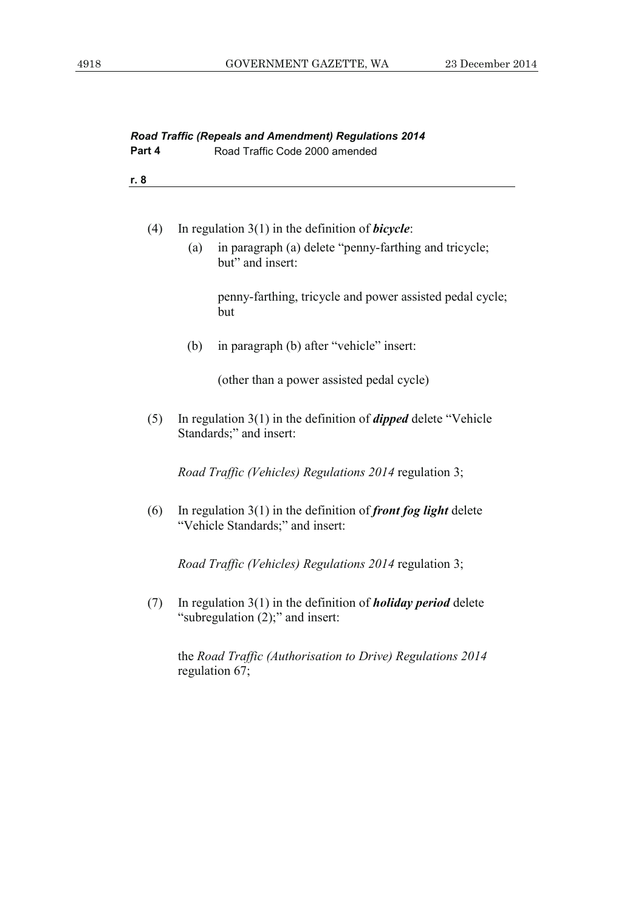| Part 4 | <b>Road Traffic (Repeals and Amendment) Regulations 2014</b><br>Road Traffic Code 2000 amended              |  |
|--------|-------------------------------------------------------------------------------------------------------------|--|
| r. 8   |                                                                                                             |  |
| (4)    | In regulation $3(1)$ in the definition of <i>bicycle</i> :                                                  |  |
|        | in paragraph (a) delete "penny-farthing and tricycle;<br>(a)<br>but" and insert:                            |  |
|        | penny-farthing, tricycle and power assisted pedal cycle;<br>but                                             |  |
|        | (b)<br>in paragraph (b) after "vehicle" insert:                                                             |  |
|        | (other than a power assisted pedal cycle)                                                                   |  |
| (5)    | In regulation $3(1)$ in the definition of <i>dipped</i> delete "Vehicle"<br>Standards;" and insert:         |  |
|        | Road Traffic (Vehicles) Regulations 2014 regulation 3;                                                      |  |
| (6)    | In regulation $3(1)$ in the definition of <i>front fog light</i> delete<br>"Vehicle Standards;" and insert: |  |
|        | <i>Road Traffic (Vehicles) Regulations 2014 regulation 3;</i>                                               |  |
| (7)    | In regulation $3(1)$ in the definition of <i>holiday period</i> delete<br>"subregulation (2);" and insert:  |  |
|        | the Road Traffic (Authorisation to Drive) Regulations 2014<br>regulation 67;                                |  |
|        |                                                                                                             |  |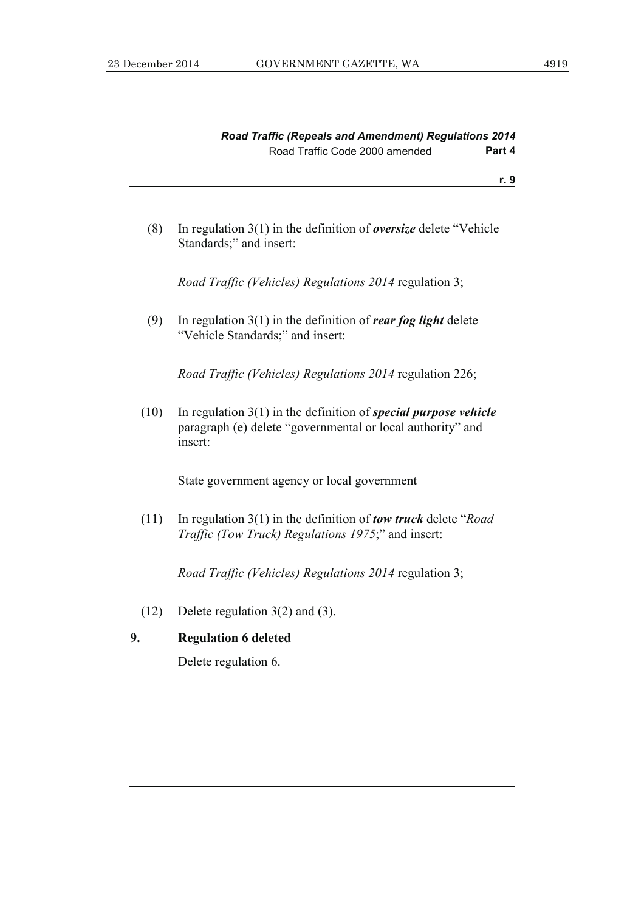| <b>Road Traffic (Repeals and Amendment) Regulations 2014</b> |        |
|--------------------------------------------------------------|--------|
| Road Traffic Code 2000 amended                               | Part 4 |

 (8) In regulation 3(1) in the definition of *oversize* delete "Vehicle Standards;" and insert:

*Road Traffic (Vehicles) Regulations 2014* regulation 3;

 (9) In regulation 3(1) in the definition of *rear fog light* delete "Vehicle Standards;" and insert:

*Road Traffic (Vehicles) Regulations 2014* regulation 226;

 (10) In regulation 3(1) in the definition of *special purpose vehicle*  paragraph (e) delete "governmental or local authority" and insert:

State government agency or local government

 (11) In regulation 3(1) in the definition of *tow truck* delete "*Road Traffic (Tow Truck) Regulations 1975*;" and insert:

*Road Traffic (Vehicles) Regulations 2014* regulation 3;

(12) Delete regulation 3(2) and (3).

### **9. Regulation 6 deleted**

Delete regulation 6.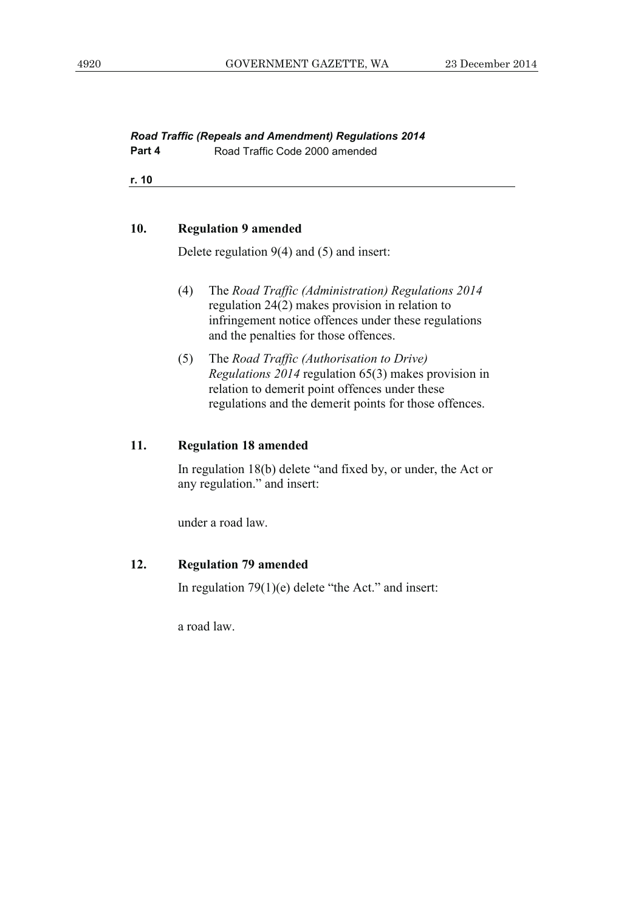#### *Road Traffic (Repeals and Amendment) Regulations 2014*  **Part 4 Road Traffic Code 2000 amended**

**r. 10**

#### **10. Regulation 9 amended**

Delete regulation 9(4) and (5) and insert:

- (4) The *Road Traffic (Administration) Regulations 2014*  regulation 24(2) makes provision in relation to infringement notice offences under these regulations and the penalties for those offences.
- (5) The *Road Traffic (Authorisation to Drive) Regulations 2014* regulation 65(3) makes provision in relation to demerit point offences under these regulations and the demerit points for those offences.

#### **11. Regulation 18 amended**

 In regulation 18(b) delete "and fixed by, or under, the Act or any regulation." and insert:

under a road law.

### **12. Regulation 79 amended**

In regulation 79(1)(e) delete "the Act." and insert:

a road law.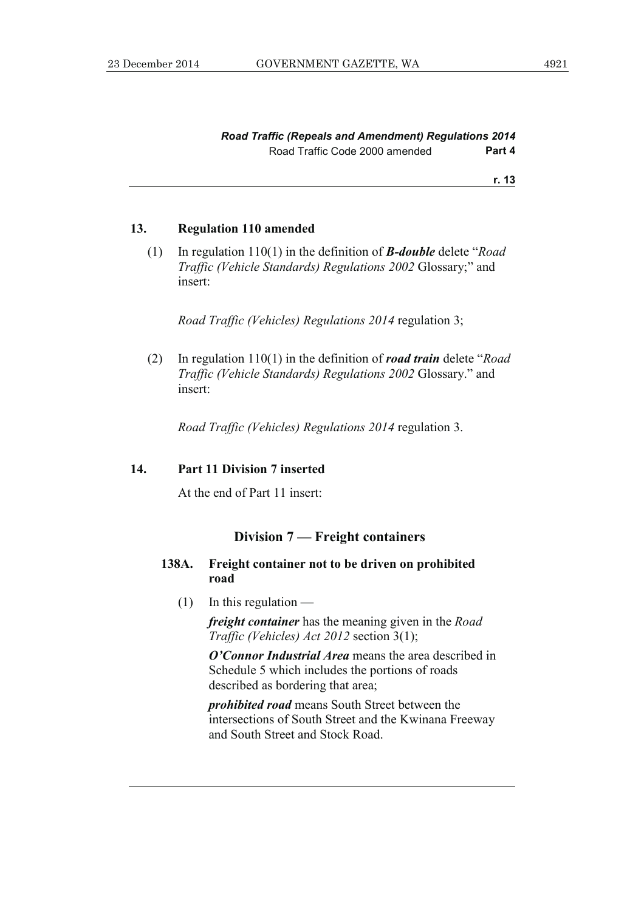#### **13. Regulation 110 amended**

 (1) In regulation 110(1) in the definition of *B-double* delete "*Road Traffic (Vehicle Standards) Regulations 2002* Glossary;" and insert:

*Road Traffic (Vehicles) Regulations 2014* regulation 3;

 (2) In regulation 110(1) in the definition of *road train* delete "*Road Traffic (Vehicle Standards) Regulations 2002* Glossary." and insert:

*Road Traffic (Vehicles) Regulations 2014* regulation 3.

#### **14. Part 11 Division 7 inserted**

At the end of Part 11 insert:

#### **Division 7 — Freight containers**

#### **138A. Freight container not to be driven on prohibited road**

 $(1)$  In this regulation —

*freight container* has the meaning given in the *Road Traffic (Vehicles) Act 2012* section 3(1);

*O'Connor Industrial Area* means the area described in Schedule 5 which includes the portions of roads described as bordering that area;

*prohibited road* means South Street between the intersections of South Street and the Kwinana Freeway and South Street and Stock Road.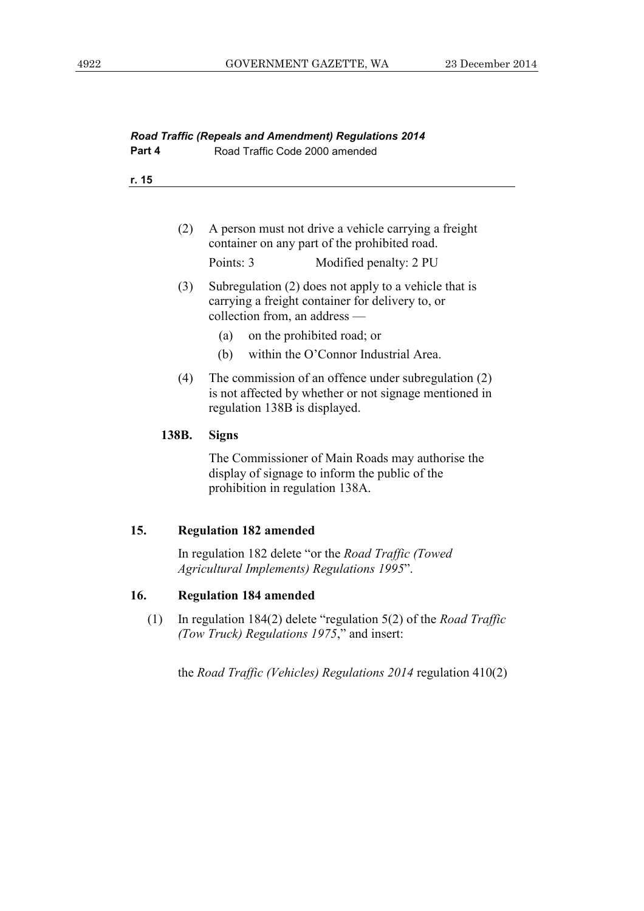| <b>Road Traffic (Repeals and Amendment) Regulations 2014</b><br>Road Traffic Code 2000 amended<br>Part 4 |                                                                                                                                                   |                                                                                                                                                 |
|----------------------------------------------------------------------------------------------------------|---------------------------------------------------------------------------------------------------------------------------------------------------|-------------------------------------------------------------------------------------------------------------------------------------------------|
| r. 15                                                                                                    |                                                                                                                                                   |                                                                                                                                                 |
|                                                                                                          | (2)                                                                                                                                               | A person must not drive a vehicle carrying a freight<br>container on any part of the prohibited road.                                           |
|                                                                                                          |                                                                                                                                                   | Points: 3<br>Modified penalty: 2 PU                                                                                                             |
|                                                                                                          | Subregulation (2) does not apply to a vehicle that is<br>(3)<br>carrying a freight container for delivery to, or<br>collection from, an address - |                                                                                                                                                 |
|                                                                                                          |                                                                                                                                                   | on the prohibited road; or<br>(a)                                                                                                               |
|                                                                                                          |                                                                                                                                                   | within the O'Connor Industrial Area.<br>(b)                                                                                                     |
|                                                                                                          | (4)                                                                                                                                               | The commission of an offence under subregulation (2)<br>is not affected by whether or not signage mentioned in<br>regulation 138B is displayed. |
|                                                                                                          | 138B.                                                                                                                                             | <b>Signs</b>                                                                                                                                    |
|                                                                                                          |                                                                                                                                                   | The Commissioner of Main Roads may authorise the<br>display of signage to inform the public of the<br>prohibition in regulation 138A.           |
| 15.                                                                                                      |                                                                                                                                                   | <b>Regulation 182 amended</b>                                                                                                                   |
|                                                                                                          | In regulation 182 delete "or the <i>Road Traffic (Towed</i> )<br>Agricultural Implements) Regulations 1995".                                      |                                                                                                                                                 |
| 16.                                                                                                      | <b>Regulation 184 amended</b>                                                                                                                     |                                                                                                                                                 |
| (1)                                                                                                      | In regulation $184(2)$ delete "regulation $5(2)$ of the <i>Road Traffic</i><br>(Tow Truck) Regulations 1975," and insert:                         |                                                                                                                                                 |
|                                                                                                          | the Road Traffic (Vehicles) Regulations $2014$ regulation $410(2)$                                                                                |                                                                                                                                                 |
|                                                                                                          |                                                                                                                                                   |                                                                                                                                                 |
|                                                                                                          |                                                                                                                                                   |                                                                                                                                                 |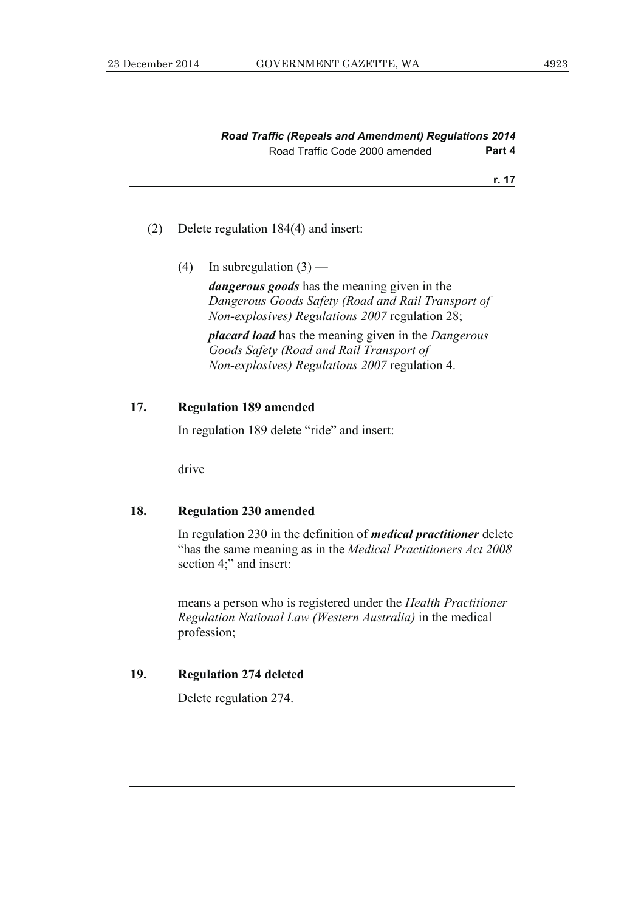| <b>Road Traffic (Repeals and Amendment) Regulations 2014</b> |        |
|--------------------------------------------------------------|--------|
| Road Traffic Code 2000 amended                               | Part 4 |

#### (2) Delete regulation 184(4) and insert:

(4) In subregulation  $(3)$  —

*dangerous goods* has the meaning given in the *Dangerous Goods Safety (Road and Rail Transport of Non-explosives) Regulations 2007* regulation 28;

*placard load* has the meaning given in the *Dangerous Goods Safety (Road and Rail Transport of Non-explosives) Regulations 2007* regulation 4.

#### **17. Regulation 189 amended**

In regulation 189 delete "ride" and insert:

drive

#### **18. Regulation 230 amended**

 In regulation 230 in the definition of *medical practitioner* delete "has the same meaning as in the *Medical Practitioners Act 2008* section 4;" and insert:

 means a person who is registered under the *Health Practitioner Regulation National Law (Western Australia)* in the medical profession;

#### **19. Regulation 274 deleted**

Delete regulation 274.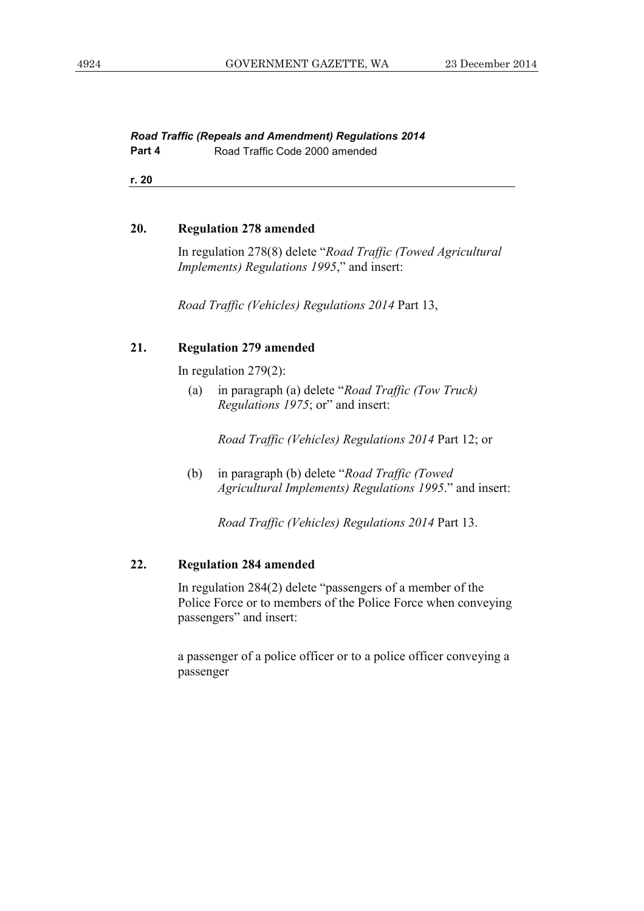#### *Road Traffic (Repeals and Amendment) Regulations 2014*  **Part 4 Road Traffic Code 2000 amended**

**r. 20**

#### **20. Regulation 278 amended**

 In regulation 278(8) delete "*Road Traffic (Towed Agricultural Implements) Regulations 1995*," and insert:

*Road Traffic (Vehicles) Regulations 2014* Part 13,

#### **21. Regulation 279 amended**

In regulation 279(2):

 (a) in paragraph (a) delete "*Road Traffic (Tow Truck) Regulations 1975*; or" and insert:

 *Road Traffic (Vehicles) Regulations 2014* Part 12; or

 (b) in paragraph (b) delete "*Road Traffic (Towed Agricultural Implements) Regulations 1995*." and insert:

 *Road Traffic (Vehicles) Regulations 2014* Part 13.

### **22. Regulation 284 amended**

 In regulation 284(2) delete "passengers of a member of the Police Force or to members of the Police Force when conveying passengers" and insert:

 a passenger of a police officer or to a police officer conveying a passenger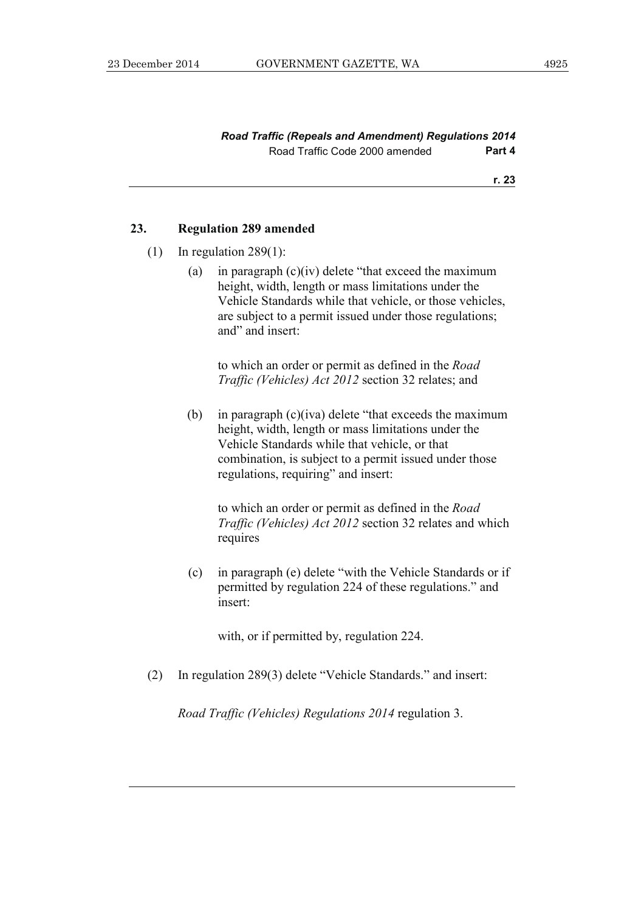#### *Road Traffic (Repeals and Amendment) Regulations 2014*  Road Traffic Code 2000 amended **Part 4**

**r. 23**

#### **23. Regulation 289 amended**

- $(1)$  In regulation 289 $(1)$ :
	- (a) in paragraph  $(c)(iv)$  delete "that exceed the maximum height, width, length or mass limitations under the Vehicle Standards while that vehicle, or those vehicles, are subject to a permit issued under those regulations; and" and insert:

 to which an order or permit as defined in the *Road Traffic (Vehicles) Act 2012* section 32 relates; and

 (b) in paragraph (c)(iva) delete "that exceeds the maximum height, width, length or mass limitations under the Vehicle Standards while that vehicle, or that combination, is subject to a permit issued under those regulations, requiring" and insert:

 to which an order or permit as defined in the *Road Traffic (Vehicles) Act 2012* section 32 relates and which requires

 (c) in paragraph (e) delete "with the Vehicle Standards or if permitted by regulation 224 of these regulations." and insert:

with, or if permitted by, regulation 224.

(2) In regulation 289(3) delete "Vehicle Standards." and insert:

 *Road Traffic (Vehicles) Regulations 2014* regulation 3.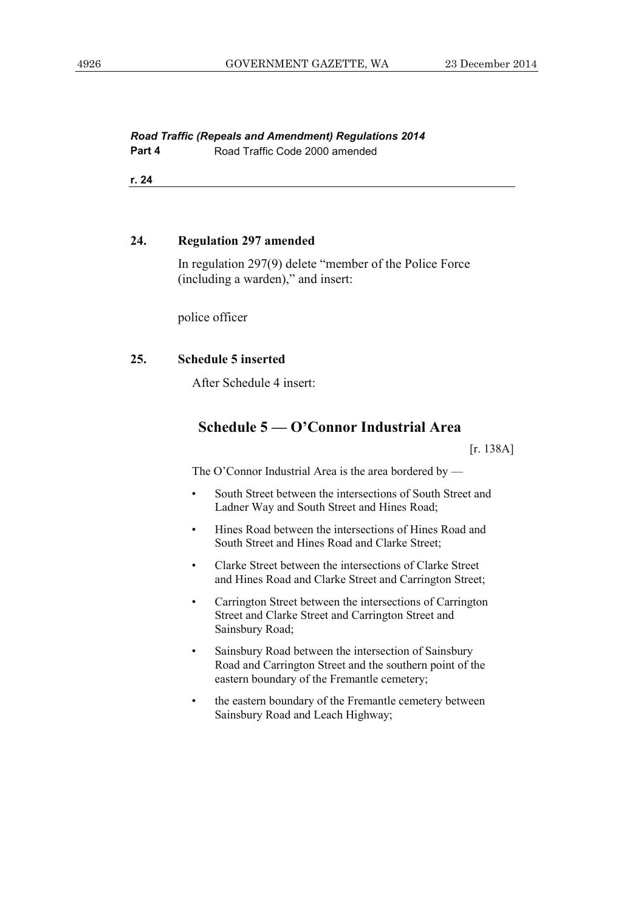#### *Road Traffic (Repeals and Amendment) Regulations 2014*  **Part 4 Road Traffic Code 2000 amended**

**r. 24**

#### **24. Regulation 297 amended**

 In regulation 297(9) delete "member of the Police Force (including a warden)," and insert:

police officer

#### **25. Schedule 5 inserted**

After Schedule 4 insert:

## **Schedule 5 — O'Connor Industrial Area**

 $[r. 138A]$ 

The O'Connor Industrial Area is the area bordered by —

- South Street between the intersections of South Street and Ladner Way and South Street and Hines Road;
- Hines Road between the intersections of Hines Road and South Street and Hines Road and Clarke Street;
- Clarke Street between the intersections of Clarke Street and Hines Road and Clarke Street and Carrington Street;
- Carrington Street between the intersections of Carrington Street and Clarke Street and Carrington Street and Sainsbury Road;
- Sainsbury Road between the intersection of Sainsbury Road and Carrington Street and the southern point of the eastern boundary of the Fremantle cemetery;
- the eastern boundary of the Fremantle cemetery between Sainsbury Road and Leach Highway;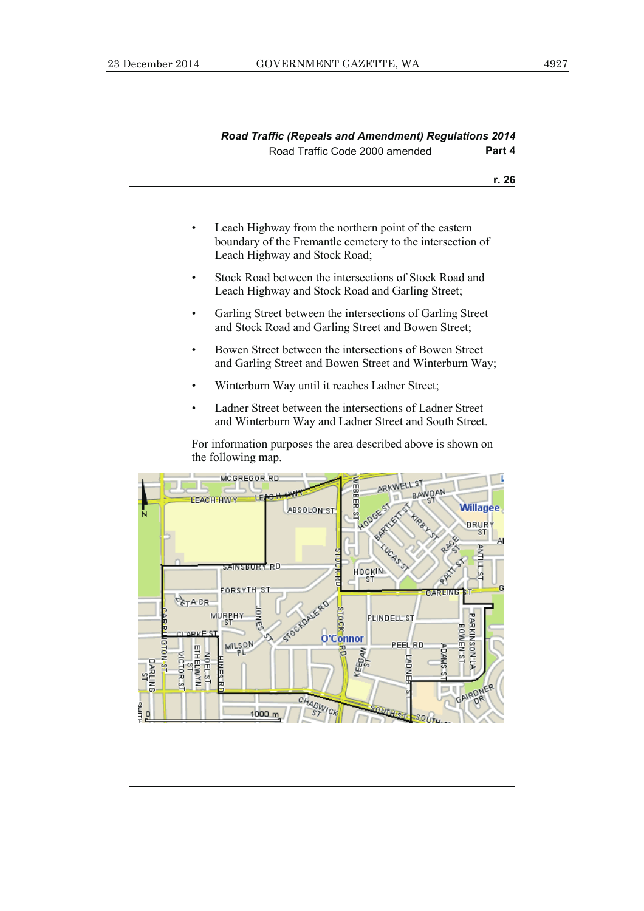- Leach Highway from the northern point of the eastern boundary of the Fremantle cemetery to the intersection of Leach Highway and Stock Road;
- Stock Road between the intersections of Stock Road and Leach Highway and Stock Road and Garling Street;
- Garling Street between the intersections of Garling Street and Stock Road and Garling Street and Bowen Street;
- Bowen Street between the intersections of Bowen Street and Garling Street and Bowen Street and Winterburn Way;
- Winterburn Way until it reaches Ladner Street;
- Ladner Street between the intersections of Ladner Street and Winterburn Way and Ladner Street and South Street.

 For information purposes the area described above is shown on the following map.

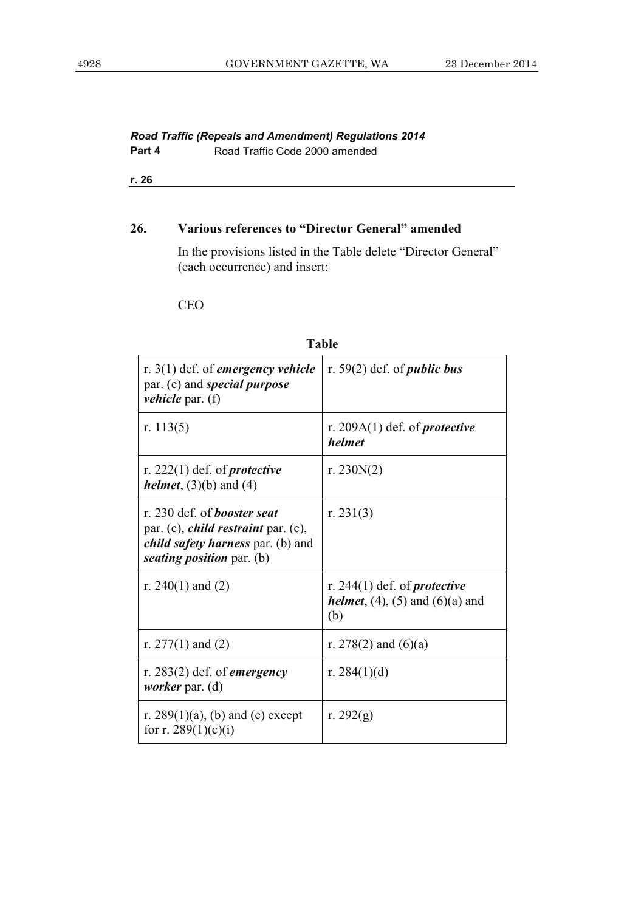#### *Road Traffic (Repeals and Amendment) Regulations 2014*  **Part 4 Road Traffic Code 2000 amended**

**r. 26**

#### **26. Various references to "Director General" amended**

 In the provisions listed in the Table delete "Director General" (each occurrence) and insert:

#### CEO

| r. $3(1)$ def. of <i>emergency vehicle</i><br>par. (e) and <i>special purpose</i><br><i>vehicle</i> par. (f)                                                     | r. $59(2)$ def. of <i>public bus</i>                                                         |
|------------------------------------------------------------------------------------------------------------------------------------------------------------------|----------------------------------------------------------------------------------------------|
| r. $113(5)$                                                                                                                                                      | r. 209A $(1)$ def. of <i>protective</i><br>helmet                                            |
| r. $222(1)$ def. of <i>protective</i><br><i>helmet</i> , $(3)(b)$ and $(4)$                                                                                      | r. 230 $N(2)$                                                                                |
| r. 230 def. of <i>booster seat</i><br>par. (c), <i>child restraint</i> par. (c),<br><i>child safety harness par.</i> (b) and<br>seating <i>position</i> par. (b) | r. 231 $(3)$                                                                                 |
| r. 240(1) and (2)                                                                                                                                                | r. 244(1) def. of <i>protective</i><br><i>helmet</i> , $(4)$ , $(5)$ and $(6)(a)$ and<br>(b) |
| r. $277(1)$ and (2)                                                                                                                                              | r. 278(2) and $(6)(a)$                                                                       |
| r. 283(2) def. of <i>emergency</i><br><i>worker</i> par. (d)                                                                                                     | r. 284 $(1)(d)$                                                                              |
| r. 289(1)(a), (b) and (c) except<br>for r. 289 $(1)(c)(i)$                                                                                                       | r. 292 $(g)$                                                                                 |

## **Table**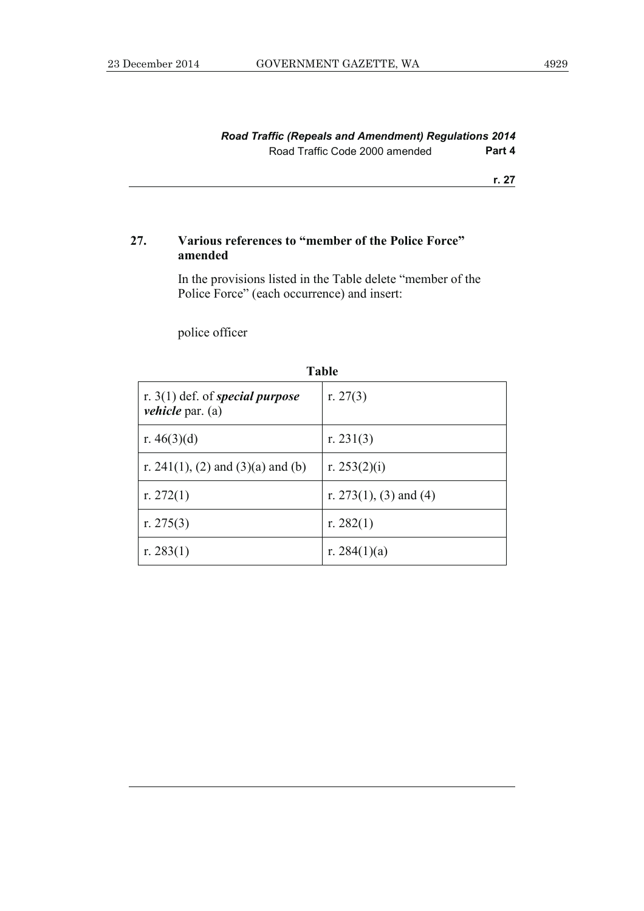### **27. Various references to "member of the Police Force" amended**

 In the provisions listed in the Table delete "member of the Police Force" (each occurrence) and insert:

police officer

| r. $3(1)$ def. of special purpose<br><i>vehicle</i> par. (a) | r. 27 $(3)$            |
|--------------------------------------------------------------|------------------------|
| r. $46(3)(d)$                                                | r. 231 $(3)$           |
| r. 241(1), (2) and (3)(a) and (b)                            | r. 253 $(2)(i)$        |
| r. $272(1)$                                                  | r. 273(1), (3) and (4) |
| r. 275 $(3)$                                                 | r. $282(1)$            |
| r. 283 $(1)$                                                 | r. 284 $(1)(a)$        |

**Table**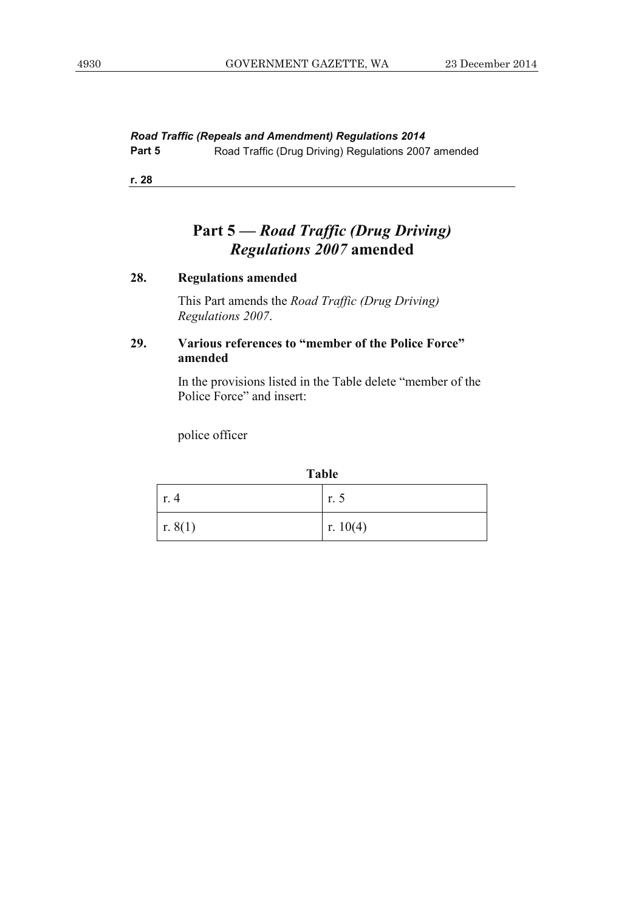*Road Traffic (Repeals and Amendment) Regulations 2014* 

Part 5 **Road Traffic (Drug Driving) Regulations 2007 amended** 

**r. 28**

## **Part 5 —** *Road Traffic (Drug Driving) Regulations 2007* **amended**

#### **28. Regulations amended**

 This Part amends the *Road Traffic (Drug Driving) Regulations 2007*.

## **29. Various references to "member of the Police Force" amended**

 In the provisions listed in the Table delete "member of the Police Force" and insert:

police officer

| . .<br>۰.<br>v<br>×<br>۰.<br>×<br>۰, |  |  |
|--------------------------------------|--|--|
|--------------------------------------|--|--|

| $\lfloor$ r. 4 | r. 5     |
|----------------|----------|
| r. 8(1)        | r. 10(4) |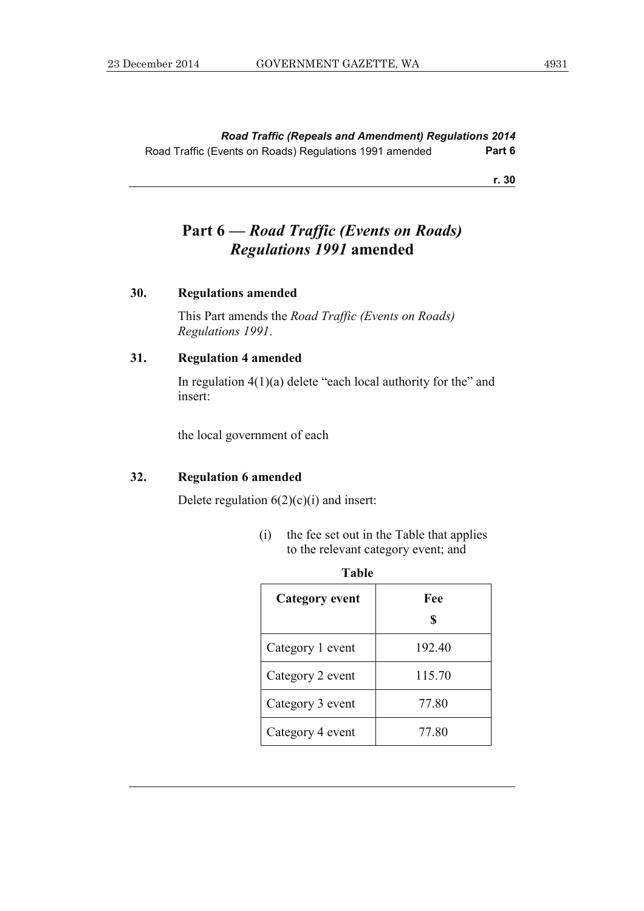*Road Traffic (Repeals and Amendment) Regulations 2014*  Road Traffic (Events on Roads) Regulations 1991 amended **Part 6** 

**r. 30**

## **Part 6 —** *Road Traffic (Events on Roads) Regulations 1991* **amended**

#### **30. Regulations amended**

 This Part amends the *Road Traffic (Events on Roads) Regulations 1991*.

#### **31. Regulation 4 amended**

In regulation  $4(1)(a)$  delete "each local authority for the" and insert:

the local government of each

#### **32. Regulation 6 amended**

Delete regulation  $6(2)(c)(i)$  and insert:

 (i) the fee set out in the Table that applies to the relevant category event; and

| l anie                |           |  |
|-----------------------|-----------|--|
| <b>Category event</b> | Fee<br>\$ |  |
| Category 1 event      | 192.40    |  |
| Category 2 event      | 115.70    |  |
| Category 3 event      | 77.80     |  |
| Category 4 event      | 77.80     |  |

| ×<br>×<br>. .<br>v<br>۰.<br>۰.<br>۰, |  |
|--------------------------------------|--|
|--------------------------------------|--|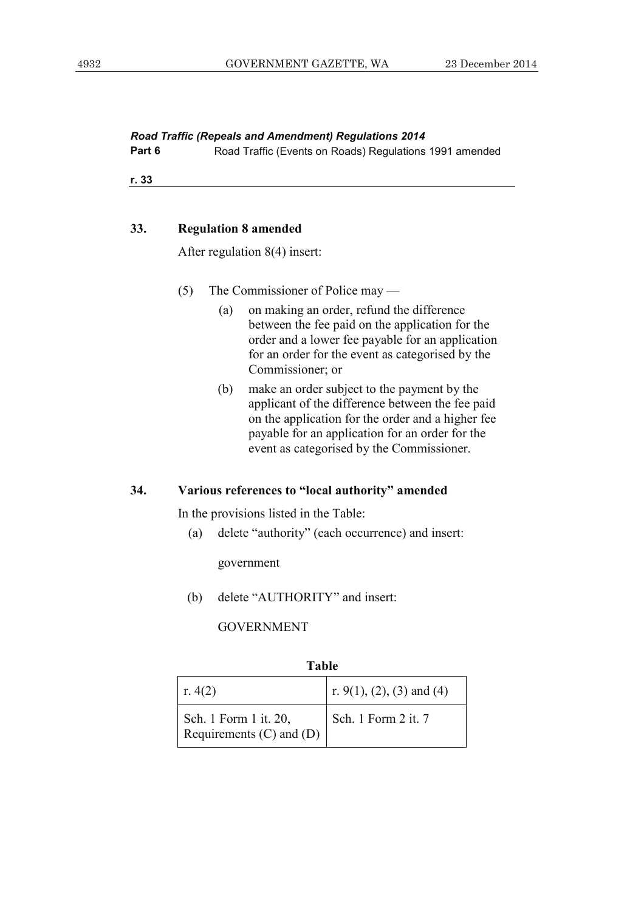*Road Traffic (Repeals and Amendment) Regulations 2014* 

**Part 6 Road Traffic (Events on Roads) Regulations 1991 amended** 

**r. 33**

#### **33. Regulation 8 amended**

After regulation 8(4) insert:

- (5) The Commissioner of Police may
	- (a) on making an order, refund the difference between the fee paid on the application for the order and a lower fee payable for an application for an order for the event as categorised by the Commissioner; or
	- (b) make an order subject to the payment by the applicant of the difference between the fee paid on the application for the order and a higher fee payable for an application for an order for the event as categorised by the Commissioner.

#### **34. Various references to "local authority" amended**

In the provisions listed in the Table:

(a) delete "authority" (each occurrence) and insert:

government

(b) delete "AUTHORITY" and insert:

GOVERNMENT

| Table                                                 |                           |
|-------------------------------------------------------|---------------------------|
| r. $4(2)$                                             | r. 9(1), (2), (3) and (4) |
| Sch. 1 Form 1 it. 20,<br>Requirements $(C)$ and $(D)$ | Sch. 1 Form 2 it. 7       |

**Table**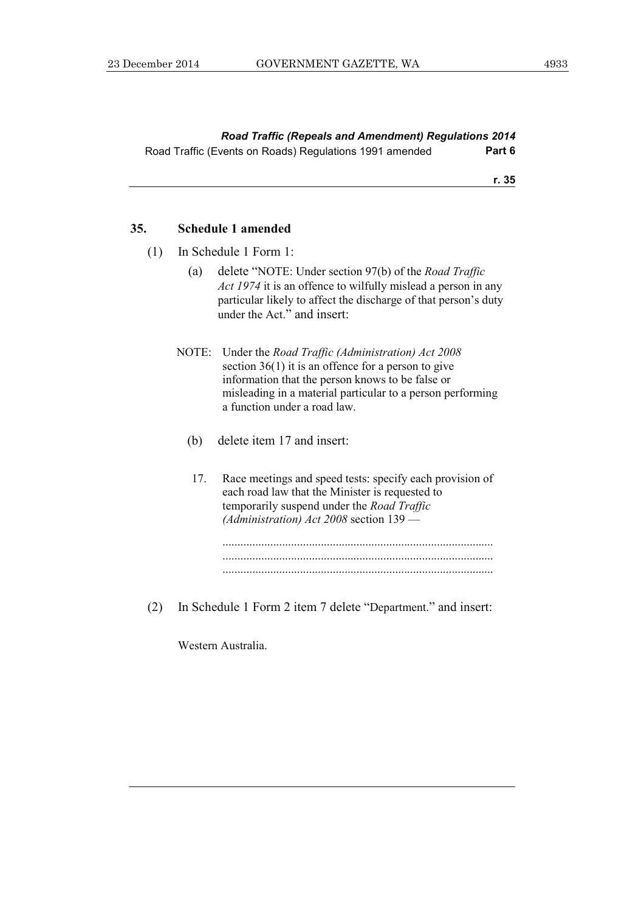*Road Traffic (Repeals and Amendment) Regulations 2014*  Road Traffic (Events on Roads) Regulations 1991 amended **Part 6** 

**r. 35**

#### **35. Schedule 1 amended**

- (1) In Schedule 1 Form 1:
	- (a) delete "NOTE: Under section 97(b) of the *Road Traffic Act 1974* it is an offence to wilfully mislead a person in any particular likely to affect the discharge of that person's duty under the Act." and insert:
	- NOTE: Under the *Road Traffic (Administration) Act 2008* section 36(1) it is an offence for a person to give information that the person knows to be false or misleading in a material particular to a person performing a function under a road law.
		- (b) delete item 17 and insert:
		- 17. Race meetings and speed tests: specify each provision of each road law that the Minister is requested to temporarily suspend under the *Road Traffic (Administration) Act 2008* section 139 —



(2) In Schedule 1 Form 2 item 7 delete "Department." and insert:

Western Australia.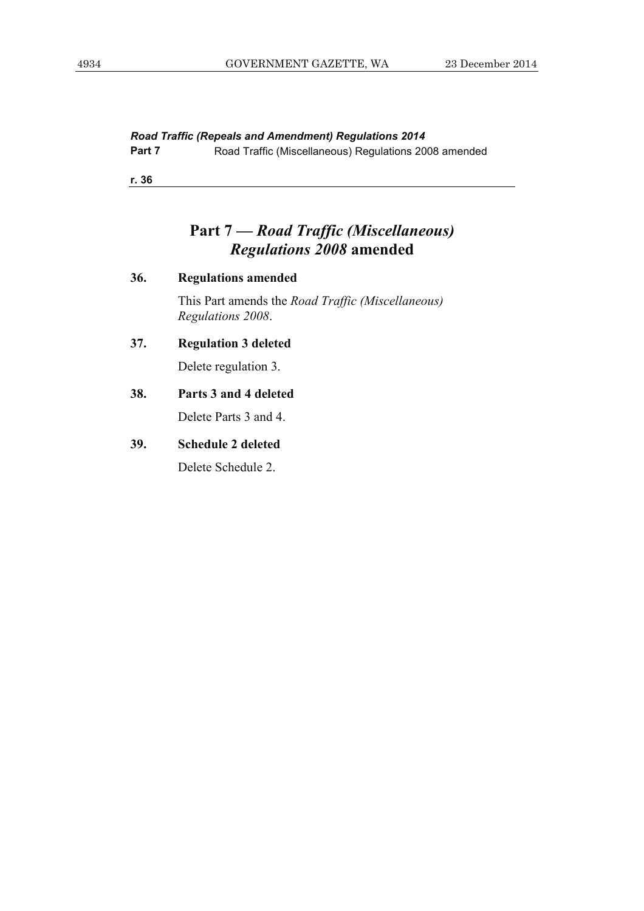*Road Traffic (Repeals and Amendment) Regulations 2014* 

**Part 7 Road Traffic (Miscellaneous) Regulations 2008 amended** 

**r. 36**

## **Part 7 —** *Road Traffic (Miscellaneous) Regulations 2008* **amended**

| 36. | <b>Regulations amended</b>                                                    |  |  |  |
|-----|-------------------------------------------------------------------------------|--|--|--|
|     | This Part amends the <i>Road Traffic (Miscellaneous)</i><br>Regulations 2008. |  |  |  |
| 37. | <b>Regulation 3 deleted</b>                                                   |  |  |  |
|     | Delete regulation 3.                                                          |  |  |  |
| 38. | Parts 3 and 4 deleted                                                         |  |  |  |
|     | Delete Parts 3 and 4.                                                         |  |  |  |
| 39. | <b>Schedule 2 deleted</b>                                                     |  |  |  |
|     | Delete Schedule 2.                                                            |  |  |  |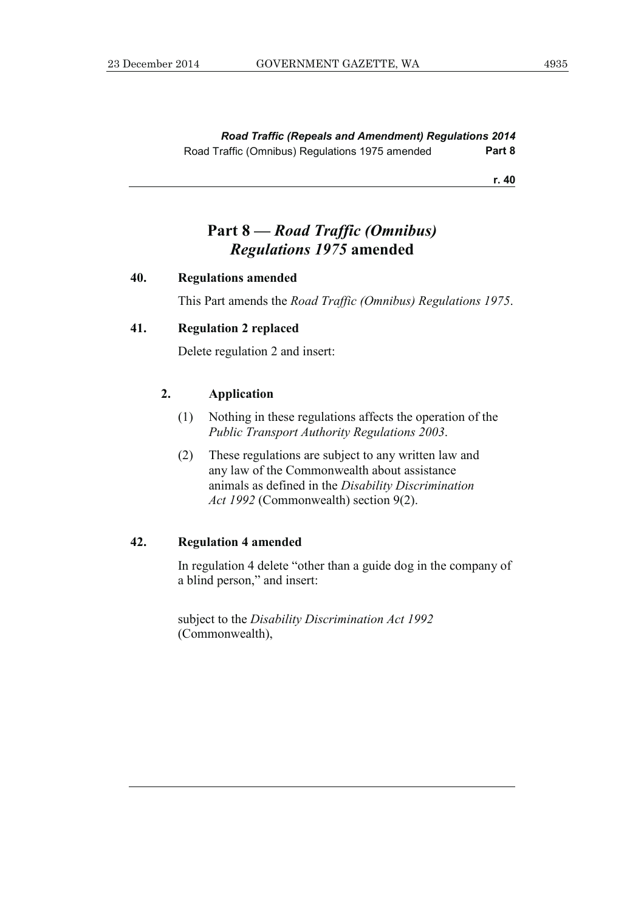*Road Traffic (Repeals and Amendment) Regulations 2014*  Road Traffic (Omnibus) Regulations 1975 amended **Part 8** 

**r. 40**

## **Part 8 —** *Road Traffic (Omnibus) Regulations 1975* **amended**

#### **40. Regulations amended**

This Part amends the *Road Traffic (Omnibus) Regulations 1975*.

#### **41. Regulation 2 replaced**

Delete regulation 2 and insert:

#### **2. Application**

- (1) Nothing in these regulations affects the operation of the *Public Transport Authority Regulations 2003*.
- (2) These regulations are subject to any written law and any law of the Commonwealth about assistance animals as defined in the *Disability Discrimination Act 1992* (Commonwealth) section 9(2).

### **42. Regulation 4 amended**

 In regulation 4 delete "other than a guide dog in the company of a blind person," and insert:

 subject to the *Disability Discrimination Act 1992* (Commonwealth),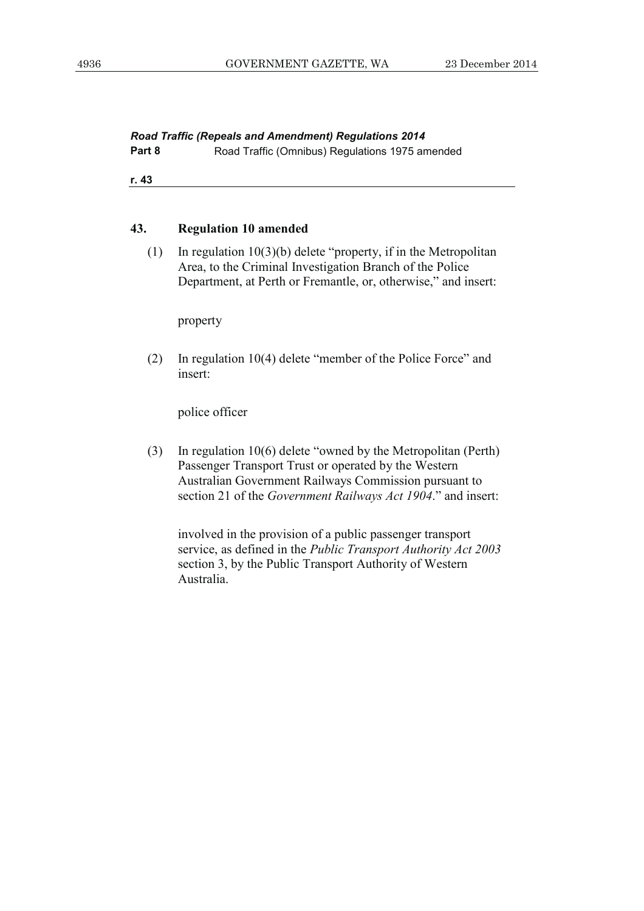**Part 8 Road Traffic (Omnibus) Regulations 1975 amended** 

**r. 43**

#### **43. Regulation 10 amended**

 (1) In regulation 10(3)(b) delete "property, if in the Metropolitan Area, to the Criminal Investigation Branch of the Police Department, at Perth or Fremantle, or, otherwise," and insert:

property

 (2) In regulation 10(4) delete "member of the Police Force" and insert:

police officer

 (3) In regulation 10(6) delete "owned by the Metropolitan (Perth) Passenger Transport Trust or operated by the Western Australian Government Railways Commission pursuant to section 21 of the *Government Railways Act 1904*." and insert:

 involved in the provision of a public passenger transport service, as defined in the *Public Transport Authority Act 2003* section 3, by the Public Transport Authority of Western Australia.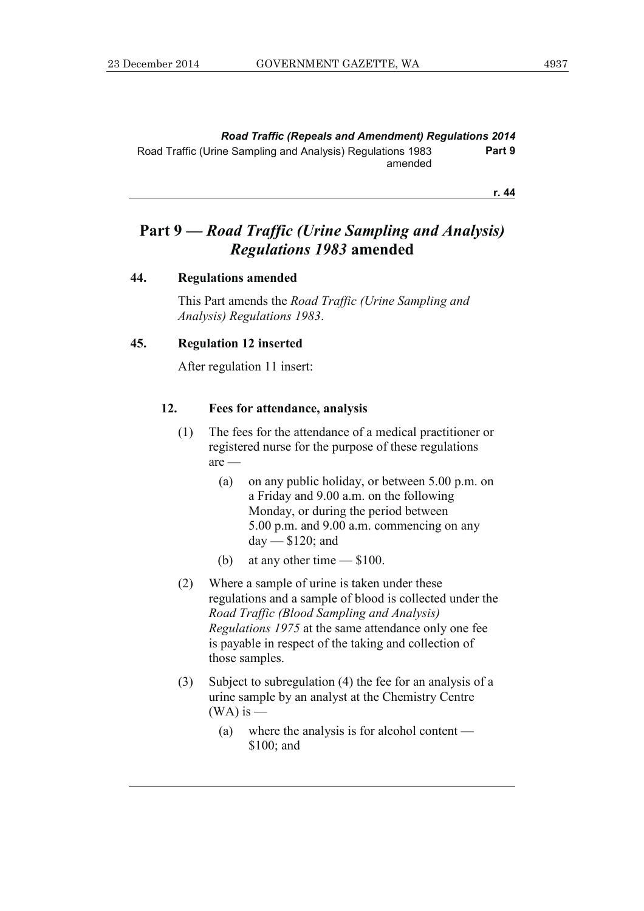## **Part 9 —** *Road Traffic (Urine Sampling and Analysis) Regulations 1983* **amended**

#### **44. Regulations amended**

 This Part amends the *Road Traffic (Urine Sampling and Analysis) Regulations 1983*.

#### **45. Regulation 12 inserted**

After regulation 11 insert:

#### **12. Fees for attendance, analysis**

- (1) The fees for the attendance of a medical practitioner or registered nurse for the purpose of these regulations are —
	- (a) on any public holiday, or between 5.00 p.m. on a Friday and 9.00 a.m. on the following Monday, or during the period between 5.00 p.m. and 9.00 a.m. commencing on any day — \$120; and
	- (b) at any other time \$100.
- (2) Where a sample of urine is taken under these regulations and a sample of blood is collected under the *Road Traffic (Blood Sampling and Analysis) Regulations 1975* at the same attendance only one fee is payable in respect of the taking and collection of those samples.
- (3) Subject to subregulation (4) the fee for an analysis of a urine sample by an analyst at the Chemistry Centre  $(WA)$  is  $-$ 
	- (a) where the analysis is for alcohol content \$100; and